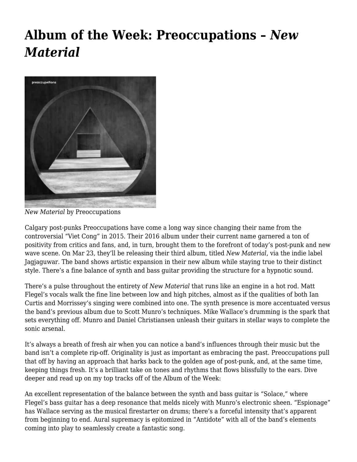## **[Album of the Week: Preoccupations –](https://motifri.com/aotw-2018-mar21/)** *[New](https://motifri.com/aotw-2018-mar21/) [Material](https://motifri.com/aotw-2018-mar21/)*



*New Material* by Preoccupations

Calgary post-punks Preoccupations have come a long way since changing their name from the controversial "Viet Cong" in 2015. Their 2016 album under their current name garnered a ton of positivity from critics and fans, and, in turn, brought them to the forefront of today's post-punk and new wave scene. On Mar 23, they'll be releasing their third album, titled *New Material*, via the indie label Jagjaguwar. The band shows artistic expansion in their new album while staying true to their distinct style. There's a fine balance of synth and bass guitar providing the structure for a hypnotic sound.

There's a pulse throughout the entirety of *New Material* that runs like an engine in a hot rod. Matt Flegel's vocals walk the fine line between low and high pitches, almost as if the qualities of both Ian Curtis and Morrissey's singing were combined into one. The synth presence is more accentuated versus the band's previous album due to Scott Munro's techniques. Mike Wallace's drumming is the spark that sets everything off. Munro and Daniel Christiansen unleash their guitars in stellar ways to complete the sonic arsenal.

It's always a breath of fresh air when you can notice a band's influences through their music but the band isn't a complete rip-off. Originality is just as important as embracing the past. Preoccupations pull that off by having an approach that harks back to the golden age of post-punk, and, at the same time, keeping things fresh. It's a brilliant take on tones and rhythms that flows blissfully to the ears. Dive deeper and read up on my top tracks off of the Album of the Week:

An excellent representation of the balance between the synth and bass guitar is "Solace," where Flegel's bass guitar has a deep resonance that melds nicely with Munro's electronic sheen. "Espionage" has Wallace serving as the musical firestarter on drums; there's a forceful intensity that's apparent from beginning to end. Aural supremacy is epitomized in "Antidote" with all of the band's elements coming into play to seamlessly create a fantastic song.